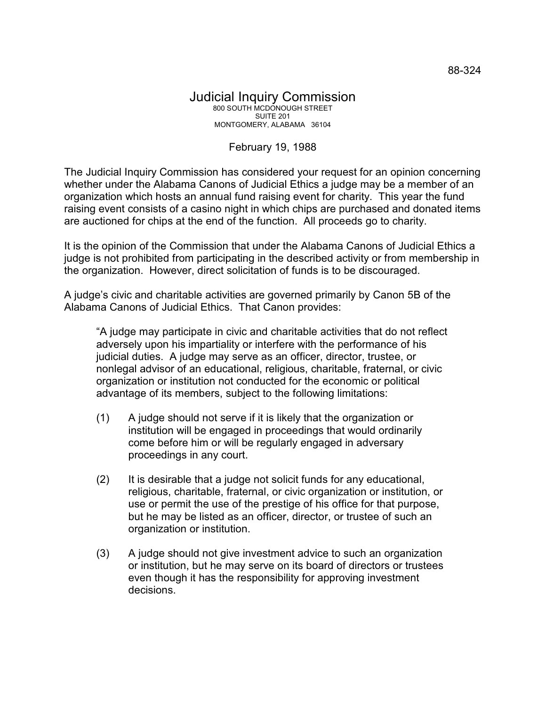## Judicial Inquiry Commission 800 SOUTH MCDONOUGH STREET SUITE 201 MONTGOMERY, ALABAMA 36104

## February 19, 1988

The Judicial Inquiry Commission has considered your request for an opinion concerning whether under the Alabama Canons of Judicial Ethics a judge may be a member of an organization which hosts an annual fund raising event for charity. This year the fund raising event consists of a casino night in which chips are purchased and donated items are auctioned for chips at the end of the function. All proceeds go to charity.

It is the opinion of the Commission that under the Alabama Canons of Judicial Ethics a judge is not prohibited from participating in the described activity or from membership in the organization. However, direct solicitation of funds is to be discouraged.

A judge's civic and charitable activities are governed primarily by Canon 5B of the Alabama Canons of Judicial Ethics. That Canon provides:

"A judge may participate in civic and charitable activities that do not reflect adversely upon his impartiality or interfere with the performance of his judicial duties. A judge may serve as an officer, director, trustee, or nonlegal advisor of an educational, religious, charitable, fraternal, or civic organization or institution not conducted for the economic or political advantage of its members, subject to the following limitations:

- (1) A judge should not serve if it is likely that the organization or institution will be engaged in proceedings that would ordinarily come before him or will be regularly engaged in adversary proceedings in any court.
- (2) It is desirable that a judge not solicit funds for any educational, religious, charitable, fraternal, or civic organization or institution, or use or permit the use of the prestige of his office for that purpose, but he may be listed as an officer, director, or trustee of such an organization or institution.
- (3) A judge should not give investment advice to such an organization or institution, but he may serve on its board of directors or trustees even though it has the responsibility for approving investment decisions.